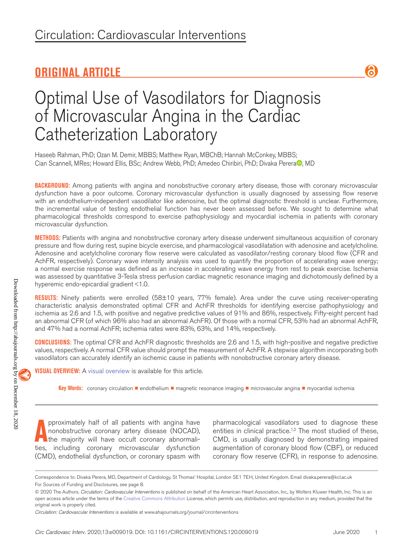## **ORIGINAL ARTICLE**



# Optimal Use of Vasodilators for Diagnosis of Microvascular Angina in the Cardiac Catheterization Laboratory

Haseeb Rahman, PhD; Ozan M. Demir, MBBS; Matthew Ryan, MBChB; Hannah McConkey, MBBS; Ci[a](https://orcid.org/0000-0001-6362-1291)n Scannell, MRes; Howard Ellis, BSc; Andrew Webb, PhD; Amedeo Chiribiri, PhD; Divaka Perera<sup>n</sup>, MD

**BACKGROUND:** Among patients with angina and nonobstructive coronary artery disease, those with coronary microvascular dysfunction have a poor outcome. Coronary microvascular dysfunction is usually diagnosed by assessing flow reserve with an endothelium-independent vasodilator like adenosine, but the optimal diagnostic threshold is unclear. Furthermore, the incremental value of testing endothelial function has never been assessed before. We sought to determine what pharmacological thresholds correspond to exercise pathophysiology and myocardial ischemia in patients with coronary microvascular dysfunction.

**METHODS:** Patients with angina and nonobstructive coronary artery disease underwent simultaneous acquisition of coronary pressure and flow during rest, supine bicycle exercise, and pharmacological vasodilatation with adenosine and acetylcholine. Adenosine and acetylcholine coronary flow reserve were calculated as vasodilator/resting coronary blood flow (CFR and AchFR, respectively). Coronary wave intensity analysis was used to quantify the proportion of accelerating wave energy; a normal exercise response was defined as an increase in accelerating wave energy from rest to peak exercise. Ischemia was assessed by quantitative 3-Tesla stress perfusion cardiac magnetic resonance imaging and dichotomously defined by a hyperemic endo-epicardial gradient <1.0.

**RESULTS:** Ninety patients were enrolled (58±10 years, 77% female). Area under the curve using receiver-operating characteristic analysis demonstrated optimal CFR and AchFR thresholds for identifying exercise pathophysiology and ischemia as 2.6 and 1.5, with positive and negative predictive values of 91% and 86%, respectively. Fifty-eight percent had an abnormal CFR (of which 96% also had an abnormal AchFR). Of those with a normal CFR, 53% had an abnormal AchFR, and 47% had a normal AchFR; ischemia rates were 83%, 63%, and 14%, respectively.

**CONCLUSIONS:** The optimal CFR and AchFR diagnostic thresholds are 2.6 and 1.5, with high-positive and negative predictive values, respectively. A normal CFR value should prompt the measurement of AchFR. A stepwise algorithm incorporating both vasodilators can accurately identify an ischemic cause in patients with nonobstructive coronary artery disease.

**VISUAL OVERVIEW:** A visual overview is available for this article.

**Key Words:** coronary circulation ◼ endothelium ◼ magnetic resonance imaging ◼ microvascular angina ◼ myocardial ischemia

**A** pproximately half of all patients with angina have nonobstructive coronary artery disease (NOCAD), the majority will have occult coronary abnormalities, including coronary microvascular dysfunction pproximately half of all patients with angina have nonobstructive coronary artery disease (NOCAD), the majority will have occult coronary abnormali-(CMD), endothelial dysfunction, or coronary spasm with

pharmacological vasodilators used to diagnose these entities in clinical practice.<sup>1,2</sup> The most studied of these, CMD, is usually diagnosed by demonstrating impaired augmentation of coronary blood flow (CBF), or reduced coronary flow reserve (CFR), in response to adenosine.

1

Correspondence to: Divaka Perera, MD, Department of Cardiology, St Thomas' Hospital, London SE1 7EH, United Kingdom. Email [divaka.perera@kcl.ac.uk](mailto:divaka.perera@kcl.ac.uk) For Sources of Funding and Disclosures, see page 8.

<sup>© 2020</sup> The Authors. *Circulation: Cardiovascular Interventions* is published on behalf of the American Heart Association, Inc., by Wolters Kluwer Health, Inc. This is an open access article under the terms of the Creative Commons Attribution License, which permits use, distribution, and reproduction in any medium, provided that the original work is properly cited.

*Circulation: Cardiovascular Interventions* is available at www.ahajournals.org/journal/circinterventions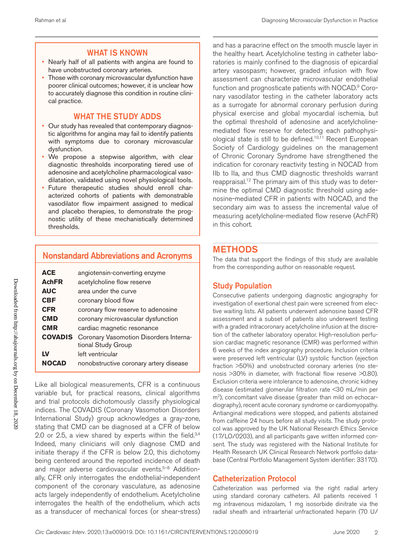#### WHAT IS KNOWN

- Nearly half of all patients with angina are found to have unobstructed coronary arteries.
- Those with coronary microvascular dysfunction have poorer clinical outcomes; however, it is unclear how to accurately diagnose this condition in routine clinical practice.

#### WHAT THE STUDY ADDS

- Our study has revealed that contemporary diagnostic algorithms for angina may fail to identify patients with symptoms due to coronary microvascular dysfunction.
- We propose a stepwise algorithm, with clear diagnostic thresholds incorporating tiered use of adenosine and acetylcholine pharmacological vasodilatation, validated using novel physiological tools.
- Future therapeutic studies should enroll characterized cohorts of patients with demonstrable vasodilator flow impairment assigned to medical and placebo therapies, to demonstrate the prognostic utility of these mechanistically determined thresholds.

### Nonstandard Abbreviations and Acronyms

| <b>ACE</b>     | angiotensin-converting enzyme                                |  |  |  |
|----------------|--------------------------------------------------------------|--|--|--|
| <b>AchFR</b>   | acetylcholine flow reserve                                   |  |  |  |
| <b>AUC</b>     | area under the curve                                         |  |  |  |
| <b>CBF</b>     | coronary blood flow                                          |  |  |  |
| <b>CFR</b>     | coronary flow reserve to adenosine                           |  |  |  |
| <b>CMD</b>     | coronary microvascular dysfunction                           |  |  |  |
| <b>CMR</b>     | cardiac magnetic resonance                                   |  |  |  |
| <b>COVADIS</b> | Coronary Vasomotion Disorders Interna-<br>tional Study Group |  |  |  |
| LV             | left ventricular                                             |  |  |  |
| <b>NOCAD</b>   | nonobstructive coronary artery disease                       |  |  |  |

Like all biological measurements, CFR is a continuous variable but, for practical reasons, clinical algorithms and trial protocols dichotomously classify physiological indices. The COVADIS (Coronary Vasomotion Disorders International Study) group acknowledges a gray-zone, stating that CMD can be diagnosed at a CFR of below 2.0 or 2.5, a view shared by experts within the field. $3,4$ Indeed, many clinicians will only diagnose CMD and initiate therapy if the CFR is below 2.0, this dichotomy being centered around the reported incidence of death and major adverse cardiovascular events.<sup>5-8</sup> Additionally, CFR only interrogates the endothelial-independent component of the coronary vasculature, as adenosine acts largely independently of endothelium. Acetylcholine interrogates the health of the endothelium, which acts as a transducer of mechanical forces (or shear-stress)

and has a paracrine effect on the smooth muscle layer in the healthy heart. Acetylcholine testing in catheter laboratories is mainly confined to the diagnosis of epicardial artery vasospasm; however, graded infusion with flow assessment can characterize microvascular endothelial function and prognosticate patients with NOCAD.<sup>9</sup> Coronary vasodilator testing in the catheter laboratory acts as a surrogate for abnormal coronary perfusion during physical exercise and global myocardial ischemia, but the optimal threshold of adenosine and acetylcholinemediated flow reserve for detecting each pathophysiological state is still to be defined.<sup>10,11</sup> Recent European Society of Cardiology guidelines on the management of Chronic Coronary Syndrome have strengthened the indication for coronary reactivity testing in NOCAD from IIb to IIa, and thus CMD diagnostic thresholds warrant reappraisal.12 The primary aim of this study was to determine the optimal CMD diagnostic threshold using adenosine-mediated CFR in patients with NOCAD, and the secondary aim was to assess the incremental value of measuring acetylcholine-mediated flow reserve (AchFR) in this cohort.

### METHODS

The data that support the findings of this study are available from the corresponding author on reasonable request.

#### Study Population

Consecutive patients undergoing diagnostic angiography for investigation of exertional chest pain were screened from elective waiting lists. All patients underwent adenosine based CFR assessment and a subset of patients also underwent testing with a graded intracoronary acetylcholine infusion at the discretion of the catheter laboratory operator. High-resolution perfusion cardiac magnetic resonance (CMR) was performed within 6 weeks of the index angiography procedure. Inclusion criteria were preserved left ventricular (LV) systolic function (ejection fraction >50%) and unobstructed coronary arteries (no stenosis >30% in diameter, with fractional flow reserve >0.80). Exclusion criteria were intolerance to adenosine, chronic kidney disease (estimated glomerular filtration rate <30 mL/min per m<sup>2</sup>), concomitant valve disease (greater than mild on echocardiography), recent acute coronary syndrome or cardiomyopathy. Antianginal medications were stopped, and patients abstained from caffeine 24 hours before all study visits. The study protocol was approved by the UK National Research Ethics Service (17/LO/0203), and all participants gave written informed consent. The study was registered with the National Institute for Health Research UK Clinical Research Network portfolio database (Central Portfolio Management System identifier: 33170).

#### Catheterization Protocol

Catheterization was performed via the right radial artery using standard coronary catheters. All patients received 1 mg intravenous midazolam, 1 mg isosorbide dinitrate via the radial sheath and intraarterial unfractionated heparin (70 U/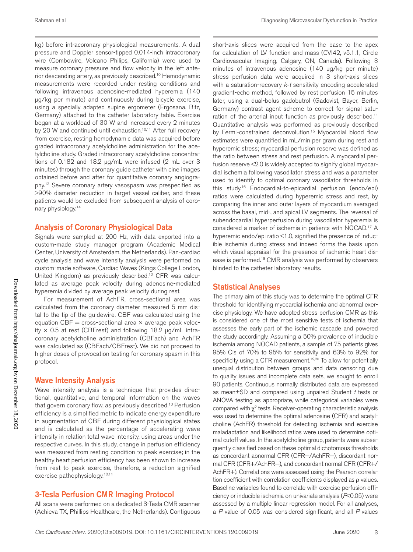kg) before intracoronary physiological measurements. A dual pressure and Doppler sensor-tipped 0.014-inch intracoronary wire (Combowire, Volcano Philips, California) were used to measure coronary pressure and flow velocity in the left anterior descending artery, as previously described.10 Hemodynamic measurements were recorded under resting conditions and following intravenous adenosine-mediated hyperemia (140 μg/kg per minute) and continuously during bicycle exercise, using a specially adapted supine ergometer (Ergosana, Bitz, Germany) attached to the catheter laboratory table. Exercise began at a workload of 30 W and increased every 2 minutes by 20 W and continued until exhaustion.<sup>10,11</sup> After full recovery from exercise, resting hemodynamic data was acquired before graded intracoronary acetylcholine administration for the acetylcholine study. Graded intracoronary acetylcholine concentrations of 0.182 and 18.2 µg/mL were infused (2 mL over 3 minutes) through the coronary guide catheter with cine images obtained before and after for quantitative coronary angiography.13 Severe coronary artery vasospasm was prespecified as >90% diameter reduction in target vessel caliber, and these patients would be excluded from subsequent analysis of coronary physiology.14

#### Analysis of Coronary Physiological Data

Signals were sampled at 200 Hz, with data exported into a custom-made study manager program (Academic Medical Center, University of Amsterdam, the Netherlands). Pan-cardiac cycle analysis and wave intensity analysis were performed on custom-made software, Cardiac Waves (Kings College London, United Kingdom) as previously described.<sup>10</sup> CFR was calculated as average peak velocity during adenosine-mediated hyperemia divided by average peak velocity during rest.

For measurement of AchFR, cross-sectional area was calculated from the coronary diameter measured 5 mm distal to the tip of the guidewire. CBF was calculated using the equation  $CBF = cross-sectional area × average peak veloc$ ity  $\times$  0.5 at rest (CBFrest) and following 18.2 µg/mL intracoronary acetylcholine administration (CBFach) and AchFR was calculated as (CBFach/CBFrest). We did not proceed to higher doses of provocation testing for coronary spasm in this protocol.

#### Wave Intensity Analysis

Wave intensity analysis is a technique that provides directional, quantitative, and temporal information on the waves that govern coronary flow, as previously described.10 Perfusion efficiency is a simplified metric to indicate energy expenditure in augmentation of CBF during different physiological states and is calculated as the percentage of accelerating wave intensity in relation total wave intensity, using areas under the respective curves. In this study, change in perfusion efficiency was measured from resting condition to peak exercise; in the healthy heart perfusion efficiency has been shown to increase from rest to peak exercise, therefore, a reduction signified exercise pathophysiology.<sup>10,11</sup>

#### 3-Tesla Perfusion CMR Imaging Protocol

All scans were performed on a dedicated 3-Tesla CMR scanner (Achieva TX, Phillips Healthcare, the Netherlands). Contiguous

short-axis slices were acquired from the base to the apex for calculation of LV function and mass (CVI42, v5.1.1, Circle Cardiovascular Imaging, Calgary, ON, Canada). Following 3 minutes of intravenous adenosine (140 µg/kg per minute) stress perfusion data were acquired in 3 short-axis slices with a saturation-recovery *k-t* sensitivity encoding accelerated gradient-echo method, followed by rest perfusion 15 minutes later, using a dual-bolus gadobutrol (Gadovist, Bayer, Berlin, Germany) contrast agent scheme to correct for signal saturation of the arterial input function as previously described.<sup>11</sup> Quantitative analysis was performed as previously described by Fermi-constrained deconvolution.<sup>15</sup> Myocardial blood flow estimates were quantified in mL/min per gram during rest and hyperemic stress; myocardial perfusion reserve was defined as the ratio between stress and rest perfusion. A myocardial perfusion reserve <2.0 is widely accepted to signify global myocardial ischemia following vasodilator stress and was a parameter used to identify to optimal coronary vasodilator thresholds in this study.16 Endocardial-to-epicardial perfusion (endo/epi) ratios were calculated during hyperemic stress and rest, by comparing the inner and outer layers of myocardium averaged across the basal, mid-, and apical LV segments. The reversal of subendocardial hyperperfusion during vasodilator hyperemia is considered a marker of ischemia in patients with NOCAD.17 A hyperemic endo/epi ratio <1.0, signified the presence of inducible ischemia during stress and indeed forms the basis upon which visual appraisal for the presence of ischemic heart disease is performed.18 CMR analysis was performed by observers blinded to the catheter laboratory results.

#### Statistical Analyses

The primary aim of this study was to determine the optimal CFR threshold for identifying myocardial ischemia and abnormal exercise physiology. We have adopted stress perfusion CMR as this is considered one of the most sensitive tests of ischemia that assesses the early part of the ischemic cascade and powered the study accordingly. Assuming a 50% prevalence of inducible ischemia among NOCAD patients, a sample of 75 patients gives 95% CIs of 70% to 95% for sensitivity and 63% to 92% for specificity using a CFR measurement.<sup>19,20</sup> To allow for potentially unequal distribution between groups and data censoring due to quality issues and incomplete data sets, we sought to enroll 90 patients. Continuous normally distributed data are expressed as mean±SD and compared using unpaired Student *t* tests or ANOVA testing as appropriate, while categorical variables were compared with  $\chi^2$  tests. Receiver-operating characteristic analysis was used to determine the optimal adenosine (CFR) and acetylcholine (AchFR) threshold for detecting ischemia and exercise maladaptation and likelihood ratios were used to determine optimal cutoff values. In the acetylcholine group, patients were subsequently classified based on these optimal dichotomous thresholds as concordant abnormal CFR (CFR−/AchFR−), discordant normal CFR (CFR+/AchFR−), and concordant normal CFR (CFR+/ AchFR+). Correlations were assessed using the Pearson correlation coefficient with correlation coefficients displayed as ρ values. Baseline variables found to correlate with exercise perfusion efficiency or inducible ischemia on univariate analysis (*P*<0.05) were assessed by a multiple linear regression model. For all analyses, a *P* value of 0.05 was considered significant, and all *P* values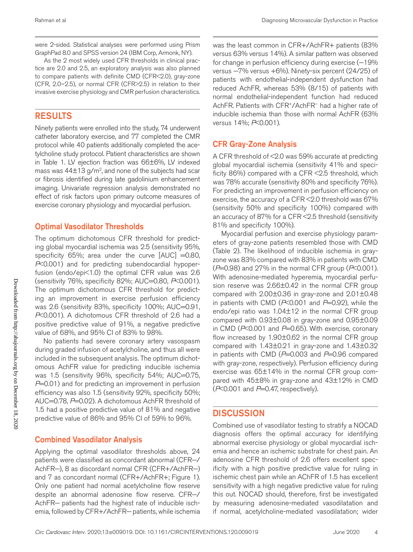were 2-sided. Statistical analyses were performed using Prism GraphPad 8.0 and SPSS version 24 (IBM Corp, Armonk, NY).

As the 2 most widely used CFR thresholds in clinical practice are 2.0 and 2.5, an exploratory analysis was also planned to compare patients with definite CMD (CFR<2.0), gray-zone (CFR, 2.0–2.5), or normal CFR (CFR>2.5) in relation to their invasive exercise physiology and CMR perfusion characteristics.

### RESULTS

Ninety patients were enrolled into the study, 74 underwent catheter laboratory exercise, and 77 completed the CMR protocol while 40 patients additionally completed the acetylcholine study protocol. Patient characteristics are shown in Table 1. LV ejection fraction was 66±6%, LV indexed mass was  $44\pm13$  g/m<sup>2</sup>, and none of the subjects had scar or fibrosis identified during late gadolinium enhancement imaging. Univariate regression analysis demonstrated no effect of risk factors upon primary outcome measures of exercise coronary physiology and myocardial perfusion.

#### Optimal Vasodilator Thresholds

The optimum dichotomous CFR threshold for predicting global myocardial ischemia was 2.5 (sensitivity 95%, specificity 65%; area under the curve  $[AUC] = 0.80$ , *P*<0.001) and for predicting subendocardial hypoperfusion (endo/epi<1.0) the optimal CFR value was 2.6 (sensitivity 76%, specificity 82%; AUC=0.80, *P*<0.001). The optimum dichotomous CFR threshold for predicting an improvement in exercise perfusion efficiency was 2.6 (sensitivity 83%, specificity 100%; AUC=0.91, *P*<0.001). A dichotomous CFR threshold of 2.6 had a positive predictive value of 91%, a negative predictive value of 68%, and 95% CI of 83% to 98%.

No patients had severe coronary artery vasospasm during graded infusion of acetylcholine, and thus all were included in the subsequent analysis. The optimum dichotomous AchFR value for predicting inducible ischemia was 1.5 (sensitivity 96%, specificity 54%; AUC=0.75, *P*=0.01) and for predicting an improvement in perfusion efficiency was also 1.5 (sensitivity 92%, specificity 50%; AUC=0.78, *P*=0.02). A dichotomous AchFR threshold of 1.5 had a positive predictive value of 81% and negative predictive value of 86% and 95% CI of 59% to 96%.

### Combined Vasodilator Analysis

Applying the optimal vasodilator thresholds above, 24 patients were classified as concordant abnormal (CFR−/ AchFR−), 8 as discordant normal CFR (CFR+/AchFR−) and 7 as concordant normal (CFR+/AchFR+; Figure 1). Only one patient had normal acetylcholine flow reserve despite an abnormal adenosine flow reserve. CFR−/ AchFR− patients had the highest rate of inducible ischemia, followed by CFR+/AchFR- patients, while ischemia was the least common in CFR+/AchFR+ patients (83% versus 63% versus 14%). A similar pattern was observed for change in perfusion efficiency during exercise (-19% versus −7% versus +6%). Ninety-six percent (24/25) of patients with endothelial-independent dysfunction had reduced AchFR, whereas 53% (8/15) of patients with normal endothelial-independent function had reduced AchFR. Patients with CFR+/AchFR− had a higher rate of inducible ischemia than those with normal AchFR (63% versus 14%; *P*<0.001).

### CFR Gray-Zone Analysis

A CFR threshold of <2.0 was 59% accurate at predicting global myocardial ischemia (sensitivity 41% and specificity 86%) compared with a CFR <2.5 threshold, which was 78% accurate (sensitivity 80% and specificity 76%). For predicting an improvement in perfusion efficiency on exercise, the accuracy of a CFR <2.0 threshold was 67% (sensitivity 50% and specificity 100%) compared with an accuracy of 87% for a CFR <2.5 threshold (sensitivity 81% and specificity 100%).

Myocardial perfusion and exercise physiology parameters of gray-zone patients resembled those with CMD (Table 2). The likelihood of inducible ischemia in grayzone was 83% compared with 83% in patients with CMD (*P*=0.98) and 27% in the normal CFR group (*P*<0.001). With adenosine-mediated hyperemia, myocardial perfusion reserve was 2.66±0.42 in the normal CFR group compared with 2.00±0.36 in gray-zone and 2.01±0.48 in patients with CMD (*P*<0.001 and *P*=0.92), while the endo/epi ratio was 1.04±12 in the normal CFR group compared with 0.93±0.08 in gray-zone and 0.95±0.09 in CMD ( $P<0.001$  and  $P=0.65$ ). With exercise, coronary flow increased by 1.90±0.62 in the normal CFR group compared with 1.43±0.21 in gray-zone and 1.43±0.32 in patients with CMD ( $P=0.003$  and  $P=0.96$  compared with gray-zone, respectively). Perfusion efficiency during exercise was 65±14% in the normal CFR group compared with 45±8% in gray-zone and 43±12% in CMD (*P*<0.001 and *P*=0.47, respectively).

### **DISCUSSION**

Combined use of vasodilator testing to stratify a NOCAD diagnosis offers the optimal accuracy for identifying abnormal exercise physiology or global myocardial ischemia and hence an ischemic substrate for chest pain. An adenosine CFR threshold of 2.6 offers excellent specificity with a high positive predictive value for ruling in ischemic chest pain while an AChFR of 1.5 has excellent sensitivity with a high negative predictive value for ruling this out. NOCAD should, therefore, first be investigated by measuring adenosine-mediated vasodilatation and if normal, acetylcholine-mediated vasodilatation; wider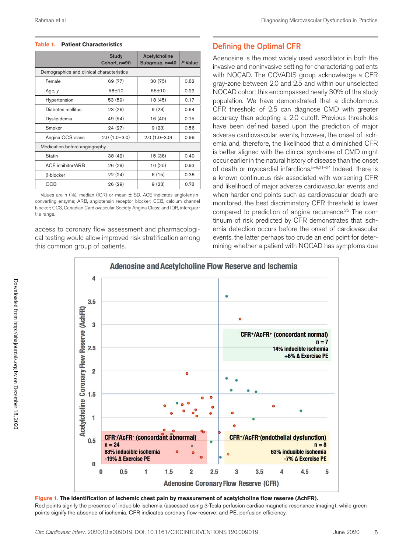#### **Table 1. Patient Characteristics**

|                                           | <b>Study</b><br>Cohort, n=90 | Acetylcholine<br>Subgroup, n=40 | P Value |  |  |  |  |
|-------------------------------------------|------------------------------|---------------------------------|---------|--|--|--|--|
| Demographics and clinical characteristics |                              |                                 |         |  |  |  |  |
| Female                                    | 69 (77)                      | 30(75)                          | 0.82    |  |  |  |  |
| Age, y                                    | 58±10<br>55±10               |                                 | 0.22    |  |  |  |  |
| Hypertension                              | 53 (59)                      | 18 (45)                         | 0.17    |  |  |  |  |
| Diabetes mellitus                         | 23 (26)                      | 9(23)                           | 0.64    |  |  |  |  |
| Dyslipidemia                              | 49 (54)                      | 16 (40)                         | 0.15    |  |  |  |  |
| Smoker                                    | 24 (27)                      | 9(23)                           | 0.56    |  |  |  |  |
| Angina CCS class                          | $2.0(1.0-3.0)$               | $2.0(1.0-3.0)$                  | 0.99    |  |  |  |  |
| Medication before angiography             |                              |                                 |         |  |  |  |  |
| Statin                                    | 38 (42)                      | 15 (38)                         | 0.49    |  |  |  |  |
| <b>ACE inhibitor/ARB</b>                  | 26 (29)                      | 10 (25)                         | 0.93    |  |  |  |  |
| β-blocker                                 | 22 (24)                      | 6(15)                           | 0.38    |  |  |  |  |
| <b>CCB</b>                                | 26 (29)                      | 9(23)                           | 0.78    |  |  |  |  |

Values are n (%), median (IQR) or mean ± SD. ACE indicates angiotensinconverting enzyme; ARB, angiotensin receptor blocker; CCB, calcium channel blocker; CCS, Canadian Cardiovascular Society Angina Class; and IQR, interquartile range.

access to coronary flow assessment and pharmacological testing would allow improved risk stratification among this common group of patients.

#### Defining the Optimal CFR

Adenosine is the most widely used vasodilator in both the invasive and noninvasive setting for characterizing patients with NOCAD. The COVADIS group acknowledge a CFR gray-zone between 2.0 and 2.5 and within our unselected NOCAD cohort this encompassed nearly 30% of the study population. We have demonstrated that a dichotomous CFR threshold of 2.5 can diagnose CMD with greater accuracy than adopting a 2.0 cutoff. Previous thresholds have been defined based upon the prediction of major adverse cardiovascular events, however, the onset of ischemia and, therefore, the likelihood that a diminished CFR is better aligned with the clinical syndrome of CMD might occur earlier in the natural history of disease than the onset of death or myocardial infarctions.<sup>5-9,21-24</sup> Indeed, there is a known continuous risk associated with worsening CFR and likelihood of major adverse cardiovascular events and when harder end points such as cardiovascular death are monitored, the best discriminatory CFR threshold is lower compared to prediction of angina recurrence.<sup>25</sup> The continuum of risk predicted by CFR demonstrates that ischemia detection occurs before the onset of cardiovascular events, the latter perhaps too crude an end point for determining whether a patient with NOCAD has symptoms due



**Figure 1. The identification of ischemic chest pain by measurement of acetylcholine flow reserve (AchFR).** Red points signify the presence of inducible ischemia (assessed using 3-Tesla perfusion cardiac magnetic resonance imaging), while green points signify the absence of ischemia. CFR indicates coronary flow reserve; and PE, perfusion efficiency.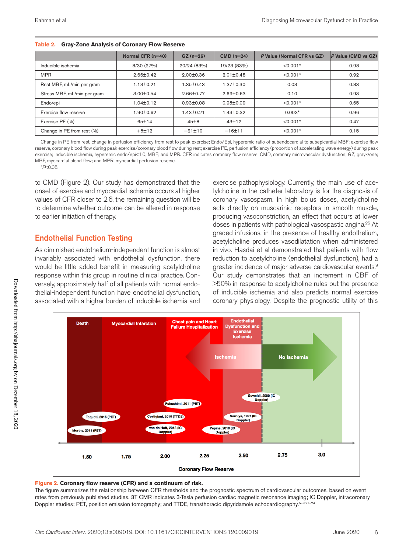|                             | Normal CFR (n=40) | $GZ (n=26)$     | $CMD (n=24)$    | P Value (Normal CFR vs GZ) | P Value (CMD vs GZ) |
|-----------------------------|-------------------|-----------------|-----------------|----------------------------|---------------------|
| Inducible ischemia          | 8/30 (27%)        | 20/24 (83%)     | 19/23 (83%)     | $< 0.001*$                 | 0.98                |
| <b>MPR</b>                  | $2.66 \pm 0.42$   | $2.00 \pm 0.36$ | $2.01 \pm 0.48$ | $< 0.001*$                 | 0.92                |
| Rest MBF, mL/min per gram   | 1.13±0.21         | $1.35 \pm 0.43$ | 1.37±0.30       | 0.03                       | 0.83                |
| Stress MBF, mL/min per gram | $3.00 + 0.54$     | $2.66 \pm 0.77$ | $2.69 \pm 0.63$ | 0.10                       | 0.93                |
| Endo/epi                    | $1.04 \pm 0.12$   | $0.93 \pm 0.08$ | $0.95 \pm 0.09$ | $< 0.001*$                 | 0.65                |
| Exercise flow reserve       | $.90 \pm 0.62$    | $1.43 \pm 0.21$ | 1.43±0.32       | $0.003*$                   | 0.96                |
| Exercise PE (%)             | 65±14             | 45±8            | $43+12$         | $< 0.001*$                 | 0.47                |
| Change in PE from rest (%)  | $+5±12$           | $-21 \pm 10$    | $-16±11$        | $< 0.001*$                 | 0.15                |

**Table 2. Gray-Zone Analysis of Coronary Flow Reserve**

Change in PE from rest, change in perfusion efficiency from rest to peak exercise; Endo/Epi, hyperemic ratio of subendocardial to subepicardial MBF; exercise flow reserve, coronary blood flow during peak exercise/coronary blood flow during rest; exercise PE, perfusion efficiency (proportion of accelerating wave energy) during peak exercise; inducible ischemia, hyperemic endo/epi<1.0; MBF; and MPR. CFR indicates coronary flow reserve; CMD, coronary microvascular dysfunction; GZ, gray-zone; MBF, myocardial blood flow; and MPR, myocardial perfusion reserve.

\**P*<0.05.

to CMD (Figure 2). Our study has demonstrated that the onset of exercise and myocardial ischemia occurs at higher values of CFR closer to 2.6, the remaining question will be to determine whether outcome can be altered in response to earlier initiation of therapy.

### Endothelial Function Testing

As diminished endothelium-independent function is almost invariably associated with endothelial dysfunction, there would be little added benefit in measuring acetylcholine response within this group in routine clinical practice. Conversely, approximately half of all patients with normal endothelial-independent function have endothelial dysfunction, associated with a higher burden of inducible ischemia and

exercise pathophysiology. Currently, the main use of acetylcholine in the catheter laboratory is for the diagnosis of coronary vasospasm. In high bolus doses, acetylcholine acts directly on muscarinic receptors in smooth muscle, producing vasoconstriction, an effect that occurs at lower doses in patients with pathological vasospastic angina.<sup>26</sup> At graded infusions, in the presence of healthy endothelium, acetylcholine produces vasodilatation when administered in vivo. Hasdai et al demonstrated that patients with flow reduction to acetylcholine (endothelial dysfunction), had a greater incidence of major adverse cardiovascular events.<sup>9</sup> Our study demonstrates that an increment in CBF of >50% in response to acetylcholine rules out the presence of inducible ischemia and also predicts normal exercise coronary physiology. Despite the prognostic utility of this



#### **Figure 2. Coronary flow reserve (CFR) and a continuum of risk.**

The figure summarizes the relationship between CFR thresholds and the prognostic spectrum of cardiovascular outcomes, based on event rates from previously published studies. 3T CMR indicates 3-Tesla perfusion cardiac magnetic resonance imaging; IC Doppler, intracoronary Doppler studies; PET, position emission tomography; and TTDE, transthoracic dipyridamole echocardiography.<sup>5–9,21-24</sup>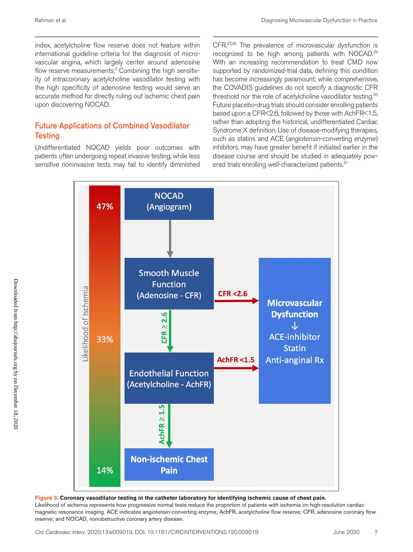index, acetylcholine flow reserve does not feature within international guideline criteria for the diagnosis of microvascular angina, which largely center around adenosine flow reserve measurements.<sup>3</sup> Combining the high sensitivity of intracoronary acetylcholine vasodilator testing with the high specificity of adenosine testing would serve an accurate method for directly ruling out ischemic chest pain upon discovering NOCAD.

### Future Applications of Combined Vasodilator **Testing**

Undifferentiated NOCAD yields poor outcomes with patients often undergoing repeat invasive testing, while less sensitive noninvasive tests may fail to identify diminished CFR.<sup>27,28</sup> The prevalence of microvascular dysfunction is recognized to be high among patients with NOCAD.29 With an increasing recommendation to treat CMD now supported by randomized-trial data, defining this condition has become increasingly paramount; while comprehensive, the COVADIS guidelines do not specify a diagnostic CFR threshold nor the role of acetylcholine vasodilator testing.<sup>30</sup> Future placebo-drug trials should consider enrolling patients based upon a CFR<2.6, followed by those with AchFR<1.5, rather than adopting the historical, undifferentiated Cardiac Syndrome X definition. Use of disease-modifying therapies, such as statins and ACE (angiotensin-converting enzyme) inhibitors. may have greater benefit if initiated earlier in the disease course and should be studied in adequately powered trials enrolling well-characterized patients.<sup>31</sup>



#### **Figure 3. Coronary vasodilator testing in the catheter laboratory for identifying ischemic cause of chest pain.**

Likelihood of ischemia represents how progressive normal tests reduce the proportion of patients with ischemia on high-resolution cardiac magnetic resonance imaging. ACE indicates angiotensin-converting enzyme; AchFR, acetylcholine flow reserve; CFR, adenosine coronary flow reserve; and NOCAD, nonobstructive coronary artery disease.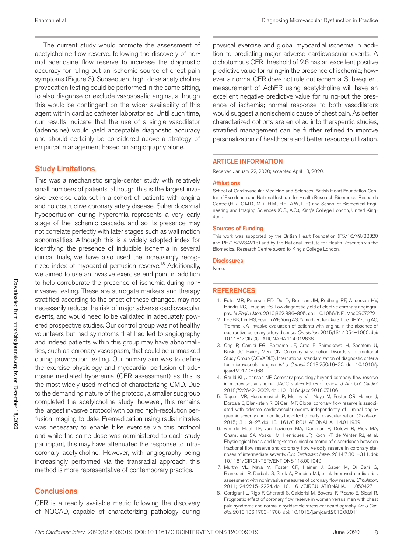The current study would promote the assessment of acetylcholine flow reserve, following the discovery of normal adenosine flow reserve to increase the diagnostic accuracy for ruling out an ischemic source of chest pain symptoms (Figure 3). Subsequent high-dose acetylcholine provocation testing could be performed in the same sitting, to also diagnose or exclude vasospastic angina, although this would be contingent on the wider availability of this agent within cardiac catheter laboratories. Until such time, our results indicate that the use of a single vasodilator (adenosine) would yield acceptable diagnostic accuracy and should certainly be considered above a strategy of empirical management based on angiography alone.

### Study Limitations

This was a mechanistic single-center study with relatively small numbers of patients, although this is the largest invasive exercise data set in a cohort of patients with angina and no obstructive coronary artery disease. Subendocardial hypoperfusion during hyperemia represents a very early stage of the ischemic cascade, and so its presence may not correlate perfectly with later stages such as wall motion abnormalities. Although this is a widely adopted index for identifying the presence of inducible ischemia in several clinical trials, we have also used the increasingly recognized index of myocardial perfusion reserve.<sup>18</sup> Additionally, we aimed to use an invasive exercise end point in addition to help corroborate the presence of ischemia during noninvasive testing. These are surrogate markers and therapy stratified according to the onset of these changes, may not necessarily reduce the risk of major adverse cardiovascular events, and would need to be validated in adequately powered prospective studies. Our control group was not healthy volunteers but had symptoms that had led to angiography and indeed patients within this group may have abnormalities, such as coronary vasospasm, that could be unmasked during provocation testing. Our primary aim was to define the exercise physiology and myocardial perfusion of adenosine-mediated hyperemia (CFR assessment) as this is the most widely used method of characterizing CMD. Due to the demanding nature of the protocol, a smaller subgroup completed the acetylcholine study; however, this remains the largest invasive protocol with paired high-resolution perfusion imaging to date. Premedication using radial nitrates was necessary to enable bike exercise via this protocol and while the same dose was administered to each study participant, this may have attenuated the response to intracoronary acetylcholine. However, with angiography being increasingly performed via the transradial approach, this method is more representative of contemporary practice.

#### **Conclusions**

CFR is a readily available metric following the discovery of NOCAD, capable of characterizing pathology during

physical exercise and global myocardial ischemia in addition to predicting major adverse cardiovascular events. A dichotomous CFR threshold of 2.6 has an excellent positive predictive value for ruling-in the presence of ischemia; however, a normal CFR does not rule out ischemia. Subsequent measurement of AchFR using acetylcholine will have an excellent negative predictive value for ruling-out the presence of ischemia; normal response to both vasodilators would suggest a nonischemic cause of chest pain. As better characterized cohorts are enrolled into therapeutic studies, stratified management can be further refined to improve personalization of healthcare and better resource utilization.

#### ARTICLE INFORMATION

Received January 22, 2020; accepted April 13, 2020.

#### Affiliations

School of Cardiovascular Medicine and Sciences, British Heart Foundation Centre of Excellence and National Institute for Health Research Biomedical Research Centre (H.R., O.M.D., M.R., H.M., H.E., A.W., D.P.) and School of Biomedical Engineering and Imaging Sciences (C.S., A.C.), King's College London, United Kingdom.

#### Sources of Funding

This work was supported by the British Heart Foundation (FS/16/49/32320 and RE/18/2/34213) and by the National Institute for Health Research via the Biomedical Research Centre award to King's College London.

#### **Disclosures**

None.

#### REFERENCES

- 1. Patel MR, Peterson ED, Dai D, Brennan JM, Redberg RF, Anderson HV, Brindis RG, Douglas PS. Low diagnostic yield of elective coronary angiography. *N Engl J Med*. 2010;362:886–895. doi: 10.1056/NEJMoa0907272
- 2. Lee BK, Lim HS, Fearon WF, Yong AS, Yamada R, Tanaka S, Lee DP, Yeung AC, Tremmel JA. Invasive evaluation of patients with angina in the absence of obstructive coronary artery disease. *Circulation*. 2015;131:1054–1060. doi: 10.1161/CIRCULATIONAHA.114.012636
- 3. Ong P, Camici PG, Beltrame JF, Crea F, Shimokawa H, Sechtem U, Kaski JC, Bairey Merz CN; Coronary Vasomotion Disorders International Study Group (COVADIS). International standardization of diagnostic criteria for microvascular angina. *Int J Cardiol*. 2018;250:16–20. doi: 10.1016/j. ijcard.2017.08.068
- 4. Gould KL, Johnson NP. Coronary physiology beyond coronary flow reserve in microvascular angina: JACC state-of-the-art review. *J Am Coll Cardiol*. 2018;72:2642–2662. doi: 10.1016/j.jacc.2018.07.106
- 5. Taqueti VR, Hachamovitch R, Murthy VL, Naya M, Foster CR, Hainer J, Dorbala S, Blankstein R, Di Carli MF. Global coronary flow reserve is associated with adverse cardiovascular events independently of luminal angiographic severity and modifies the effect of early revascularization. *Circulation*. 2015;131:19–27. doi: 10.1161/CIRCULATIONAHA.114.011939
- 6. van de Hoef TP, van Lavieren MA, Damman P, Delewi R, Piek MA, Chamuleau SA, Voskuil M, Henriques JP, Koch KT, de Winter RJ, et al. Physiological basis and long-term clinical outcome of discordance between fractional flow reserve and coronary flow velocity reserve in coronary stenoses of intermediate severity. *Circ Cardiovasc Interv*. 2014;7:301–311. doi: 10.1161/CIRCINTERVENTIONS.113.001049
- 7. Murthy VL, Naya M, Foster CR, Hainer J, Gaber M, Di Carli G, Blankstein R, Dorbala S, Sitek A, Pencina MJ, et al. Improved cardiac risk assessment with noninvasive measures of coronary flow reserve. *Circulation*. 2011;124:2215–2224. doi: 10.1161/CIRCULATIONAHA.111.050427
- 8. Cortigiani L, Rigo F, Gherardi S, Galderisi M, Bovenzi F, Picano E, Sicari R. Prognostic effect of coronary flow reserve in women versus men with chest pain syndrome and normal dipyridamole stress echocardiography. *Am J Cardiol*. 2010;106:1703–1708. doi: 10.1016/j.amjcard.2010.08.011